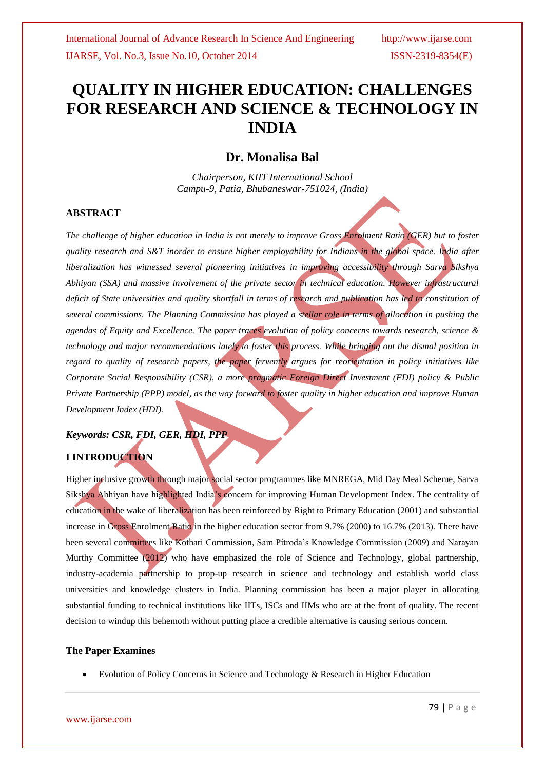# **QUALITY IN HIGHER EDUCATION: CHALLENGES FOR RESEARCH AND SCIENCE & TECHNOLOGY IN INDIA**

## **Dr. Monalisa Bal**

*Chairperson, KIIT International School Campu-9, Patia, Bhubaneswar-751024, (India)*

### **ABSTRACT**

*The challenge of higher education in India is not merely to improve Gross Enrolment Ratio (GER) but to foster quality research and S&T inorder to ensure higher employability for Indians in the global space. India after liberalization has witnessed several pioneering initiatives in improving accessibility through Sarva Sikshya Abhiyan (SSA) and massive involvement of the private sector in technical education. However infrastructural deficit of State universities and quality shortfall in terms of research and publication has led to constitution of several commissions. The Planning Commission has played a stellar role in terms of allocation in pushing the agendas of Equity and Excellence. The paper traces evolution of policy concerns towards research, science & technology and major recommendations lately to foster this process. While bringing out the dismal position in regard to quality of research papers, the paper fervently argues for reorientation in policy initiatives like Corporate Social Responsibility (CSR), a more pragmatic Foreign Direct Investment (FDI) policy & Public Private Partnership (PPP) model, as the way forward to foster quality in higher education and improve Human Development Index (HDI).*

### *Keywords: CSR, FDI, GER, HDI, PPP*

## **I INTRODUCTION**

Higher inclusive growth through major social sector programmes like MNREGA, Mid Day Meal Scheme, Sarva Sikshya Abhiyan have highlighted India"s concern for improving Human Development Index. The centrality of education in the wake of liberalization has been reinforced by Right to Primary Education (2001) and substantial increase in Gross Enrolment Ratio in the higher education sector from 9.7% (2000) to 16.7% (2013). There have been several committees like Kothari Commission, Sam Pitroda"s Knowledge Commission (2009) and Narayan Murthy Committee (2012) who have emphasized the role of Science and Technology, global partnership, industry-academia partnership to prop-up research in science and technology and establish world class universities and knowledge clusters in India. Planning commission has been a major player in allocating substantial funding to technical institutions like IITs, ISCs and IIMs who are at the front of quality. The recent decision to windup this behemoth without putting place a credible alternative is causing serious concern.

### **The Paper Examines**

Evolution of Policy Concerns in Science and Technology & Research in Higher Education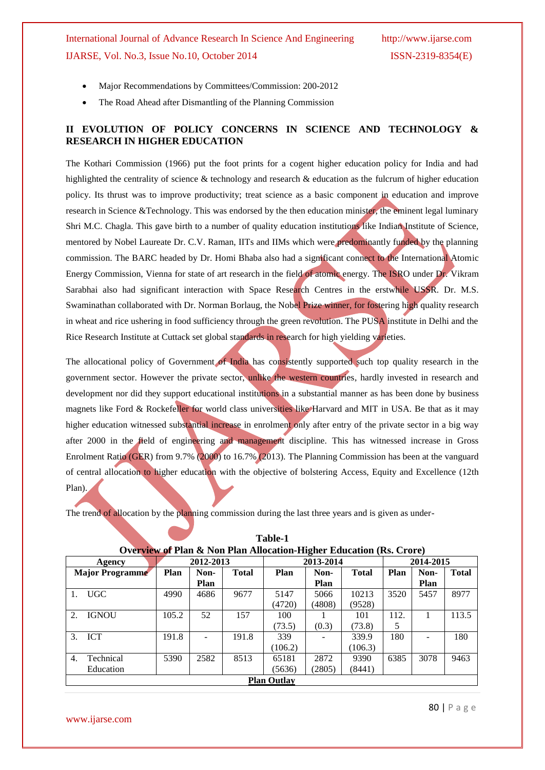- Major Recommendations by Committees/Commission: 200-2012
- The Road Ahead after Dismantling of the Planning Commission

## **II EVOLUTION OF POLICY CONCERNS IN SCIENCE AND TECHNOLOGY & RESEARCH IN HIGHER EDUCATION**

The Kothari Commission (1966) put the foot prints for a cogent higher education policy for India and had highlighted the centrality of science & technology and research & education as the fulcrum of higher education policy. Its thrust was to improve productivity; treat science as a basic component in education and improve research in Science &Technology. This was endorsed by the then education minister, the eminent legal luminary Shri M.C. Chagla. This gave birth to a number of quality education institutions like Indian Institute of Science, mentored by Nobel Laureate Dr. C.V. Raman, IITs and IIMs which were predominantly funded by the planning commission. The BARC headed by Dr. Homi Bhaba also had a significant connect to the International Atomic Energy Commission, Vienna for state of art research in the field of atomic energy. The ISRO under Dr. Vikram Sarabhai also had significant interaction with Space Research Centres in the erstwhile USSR. Dr. M.S. Swaminathan collaborated with Dr. Norman Borlaug, the Nobel Prize winner, for fostering high quality research in wheat and rice ushering in food sufficiency through the green revolution. The PUSA institute in Delhi and the Rice Research Institute at Cuttack set global standards in research for high yielding varieties.

The allocational policy of Government of India has consistently supported such top quality research in the government sector. However the private sector, unlike the western countries, hardly invested in research and development nor did they support educational institutions in a substantial manner as has been done by business magnets like Ford & Rockefeller for world class universities like Harvard and MIT in USA. Be that as it may higher education witnessed substantial increase in enrolment only after entry of the private sector in a big way after 2000 in the field of engineering and management discipline. This has witnessed increase in Gross Enrolment Ratio (GER) from 9.7% (2000) to 16.7% (2013). The Planning Commission has been at the vanguard of central allocation to higher education with the objective of bolstering Access, Equity and Excellence (12th Plan).

The trend of allocation by the planning commission during the last three years and is given as under-

|                  | Overview of Flan & Iyon Flan Anocation-Higher Equitation (KS. Crore) |           |      |       |           |             |              |           |      |              |
|------------------|----------------------------------------------------------------------|-----------|------|-------|-----------|-------------|--------------|-----------|------|--------------|
|                  | Agency                                                               | 2012-2013 |      |       | 2013-2014 |             |              | 2014-2015 |      |              |
|                  | <b>Major Programme</b>                                               | Plan      | Non- | Total | Plan      | Non-        | <b>Total</b> | Plan      | Non- | <b>Total</b> |
|                  |                                                                      |           | Plan |       |           | <b>Plan</b> |              |           | Plan |              |
| 1.               | UGC                                                                  | 4990      | 4686 | 9677  | 5147      | 5066        | 10213        | 3520      | 5457 | 8977         |
|                  |                                                                      |           |      |       | (4720)    | (4808)      | (9528)       |           |      |              |
| $\mathfrak{D}$ . | <b>IGNOU</b>                                                         | 105.2     | 52   | 157   | 100       |             | 101          | 112.      |      | 113.5        |
|                  |                                                                      |           |      |       | (73.5)    | (0.3)       | (73.8)       | 5         |      |              |
| 3.               | ICT                                                                  | 191.8     |      | 191.8 | 339       |             | 339.9        | 180       |      | 180          |
|                  |                                                                      |           |      |       | (106.2)   |             | (106.3)      |           |      |              |
| $\overline{4}$ . | Technical                                                            | 5390      | 2582 | 8513  | 65181     | 2872        | 9390         | 6385      | 3078 | 9463         |
|                  | Education                                                            |           |      |       | (5636)    | (2805)      | (8441)       |           |      |              |
|                  | <b>Plan Outlay</b>                                                   |           |      |       |           |             |              |           |      |              |

| Table-1                                                                        |  |
|--------------------------------------------------------------------------------|--|
| <b>Overview of Plan &amp; Non Plan Allocation-Higher Education (Rs. Crore)</b> |  |

www.ijarse.com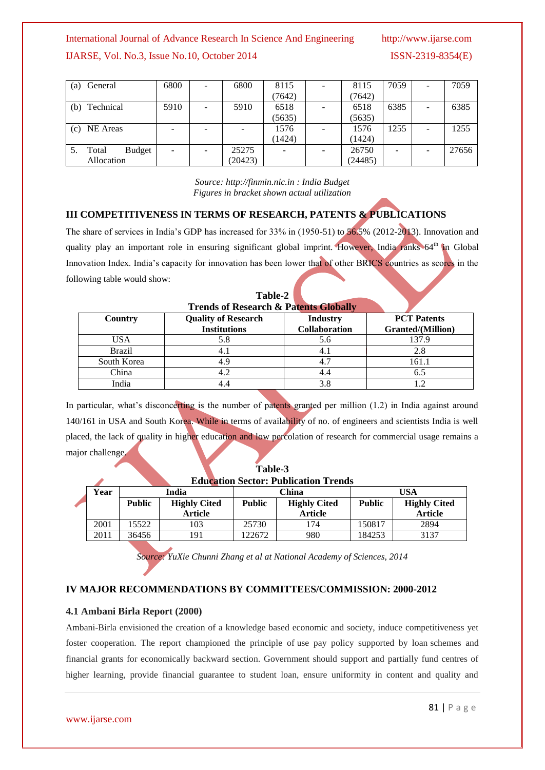## International Journal of Advance Research In Science And Engineering http://www.ijarse.com

## IJARSE, Vol. No.3, Issue No.10, October 2014 ISSN-2319-8354(E)

| General<br>(a)   | 6800                     | - | 6800    | 8115   | 8115    | 7059 | $\overline{\phantom{a}}$ | 7059  |
|------------------|--------------------------|---|---------|--------|---------|------|--------------------------|-------|
|                  |                          |   |         | (7642) | (7642)  |      |                          |       |
| Technical<br>(b) | 5910                     | ۰ | 5910    | 6518   | 6518    | 6385 | ۰                        | 6385  |
|                  |                          |   |         | (5635) | (5635)  |      |                          |       |
| (c) NE Areas     | $\overline{\phantom{a}}$ | - |         | 1576   | 1576    | 1255 | -                        | 1255  |
|                  |                          |   |         | (1424) | (1424)  |      |                          |       |
| Budget<br>Total  | $\blacksquare$           |   | 25275   |        | 26750   |      |                          | 27656 |
| Allocation       |                          |   | (20423) |        | (24485) |      |                          |       |

*Source: [http://finmin.nic.in](http://finmin.nic.in/) : India Budget Figures in bracket shown actual utilization*

## **III COMPETITIVENESS IN TERMS OF RESEARCH, PATENTS & PUBLICATIONS**

The share of services in India's GDP has increased for 33% in (1950-51) to 56.5% (2012-2013). Innovation and quality play an important role in ensuring significant global imprint. However, India ranks 64<sup>th</sup> in Global Innovation Index. India's capacity for innovation has been lower that of other BRICS countries as scores in the following table would show:

| <b>Trends of Research &amp; Patents Globally</b> |                                                   |                                  |                                         |  |  |  |
|--------------------------------------------------|---------------------------------------------------|----------------------------------|-----------------------------------------|--|--|--|
| Country                                          | <b>Quality of Research</b><br><b>Institutions</b> | <b>Industry</b><br>Collaboration | <b>PCT</b> Patents<br>Granted/(Million) |  |  |  |
| USA                                              | 5.8                                               | 5.6                              | 137.9                                   |  |  |  |
| <b>Brazil</b>                                    |                                                   | 4.1                              | 2.8                                     |  |  |  |
| South Korea                                      |                                                   | 4.7                              | 161.1                                   |  |  |  |
| China                                            |                                                   | 4.4                              | 6.5                                     |  |  |  |
| India                                            |                                                   | 3.8                              |                                         |  |  |  |

**Table-2**

In particular, what's disconcerting is the number of patents granted per million  $(1.2)$  in India against around 140/161 in USA and South Korea. While in terms of availability of no. of engineers and scientists India is well placed, the lack of quality in higher education and low percolation of research for commercial usage remains a major challenge.

|                                             |                                      |       |               | Table-3             |                |                     |                |
|---------------------------------------------|--------------------------------------|-------|---------------|---------------------|----------------|---------------------|----------------|
| <b>Education Sector: Publication Trends</b> |                                      |       |               |                     |                |                     |                |
|                                             | Year<br>India                        |       | China         |                     | USA            |                     |                |
|                                             | <b>Public</b><br><b>Highly Cited</b> |       | <b>Public</b> | <b>Highly Cited</b> | <b>Public</b>  | <b>Highly Cited</b> |                |
|                                             |                                      |       | Article       |                     | <b>Article</b> |                     | <b>Article</b> |
|                                             | 2001                                 | 15522 | 103           | 25730               | 174            | 150817              | 2894           |
|                                             | 2011                                 | 36456 | 191           | 122672              | 980            | 184253              | 3137           |

*Source: YuXie Chunni Zhang et al at National Academy of Sciences, 2014*

### **IV MAJOR RECOMMENDATIONS BY COMMITTEES/COMMISSION: 2000-2012**

### **4.1 Ambani Birla Report (2000)**

Ambani-Birla envisioned the creation of a knowledge based economic and society, induce competitiveness yet foster cooperation. The report championed the principle of use pay policy supported by loan schemes and financial grants for economically backward section. Government should support and partially fund centres of higher learning, provide financial guarantee to student loan, ensure uniformity in content and quality and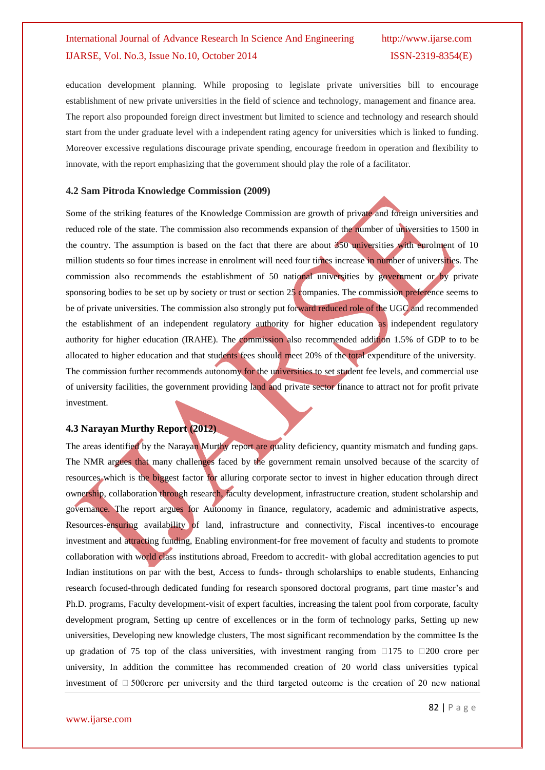education development planning. While proposing to legislate private universities bill to encourage establishment of new private universities in the field of science and technology, management and finance area. The report also propounded foreign direct investment but limited to science and technology and research should start from the under graduate level with a independent rating agency for universities which is linked to funding. Moreover excessive regulations discourage private spending, encourage freedom in operation and flexibility to innovate, with the report emphasizing that the government should play the role of a facilitator.

#### **4.2 Sam Pitroda Knowledge Commission (2009)**

Some of the striking features of the Knowledge Commission are growth of private and foreign universities and reduced role of the state. The commission also recommends expansion of the number of universities to 1500 in the country. The assumption is based on the fact that there are about 350 universities with enrolment of 10 million students so four times increase in enrolment will need four times increase in number of universities. The commission also recommends the establishment of 50 national universities by government or by private sponsoring bodies to be set up by society or trust or section 25 companies. The commission preference seems to be of private universities. The commission also strongly put forward reduced role of the UGC and recommended the establishment of an independent regulatory authority for higher education as independent regulatory authority for higher education (IRAHE). The commission also recommended addition 1.5% of GDP to to be allocated to higher education and that students fees should meet 20% of the total expenditure of the university. The commission further recommends autonomy for the universities to set student fee levels, and commercial use of university facilities, the government providing land and private sector finance to attract not for profit private investment.

### **4.3 Narayan Murthy Report (2012)**

The areas identified by the Narayan Murthy report are quality deficiency, quantity mismatch and funding gaps. The NMR argues that many challenges faced by the government remain unsolved because of the scarcity of resources which is the biggest factor for alluring corporate sector to invest in higher education through direct ownership, collaboration through research, faculty development, infrastructure creation, student scholarship and governance. The report argues for Autonomy in finance, regulatory, academic and administrative aspects, Resources-ensuring availability of land, infrastructure and connectivity, Fiscal incentives-to encourage investment and attracting funding, Enabling environment-for free movement of faculty and students to promote collaboration with world class institutions abroad, Freedom to accredit- with global accreditation agencies to put Indian institutions on par with the best, Access to funds- through scholarships to enable students, Enhancing research focused-through dedicated funding for research sponsored doctoral programs, part time master's and Ph.D. programs, Faculty development-visit of expert faculties, increasing the talent pool from corporate, faculty development program, Setting up centre of excellences or in the form of technology parks, Setting up new universities, Developing new knowledge clusters, The most significant recommendation by the committee Is the up gradation of 75 top of the class universities, with investment ranging from  $\Box$ 175 to  $\Box$ 200 crore per university, In addition the committee has recommended creation of 20 world class universities typical investment of  $\Box$  500crore per university and the third targeted outcome is the creation of 20 new national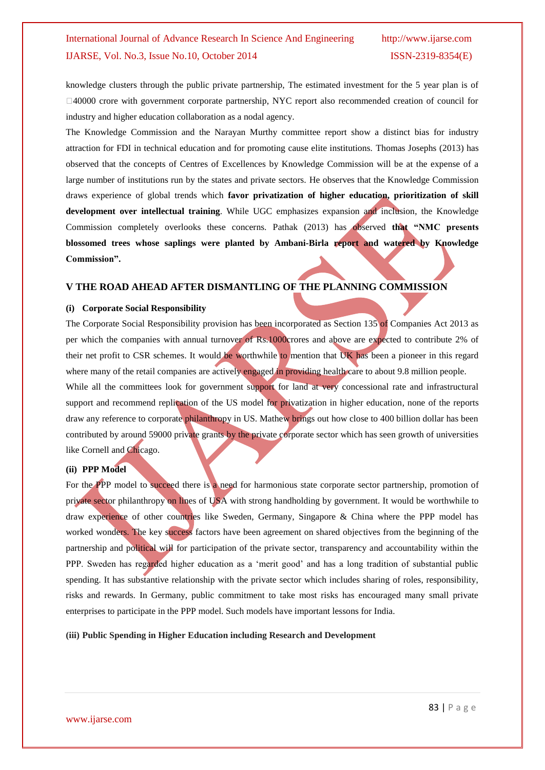knowledge clusters through the public private partnership, The estimated investment for the 5 year plan is of  $\Box$ 40000 crore with government corporate partnership, NYC report also recommended creation of council for industry and higher education collaboration as a nodal agency.

The Knowledge Commission and the Narayan Murthy committee report show a distinct bias for industry attraction for FDI in technical education and for promoting cause elite institutions. Thomas Josephs (2013) has observed that the concepts of Centres of Excellences by Knowledge Commission will be at the expense of a large number of institutions run by the states and private sectors. He observes that the Knowledge Commission draws experience of global trends which **favor privatization of higher education, prioritization of skill development over intellectual training**. While UGC emphasizes expansion and inclusion, the Knowledge Commission completely overlooks these concerns. Pathak (2013) has observed **that "NMC presents blossomed trees whose saplings were planted by Ambani-Birla report and watered by Knowledge Commission".**

## **V THE ROAD AHEAD AFTER DISMANTLING OF THE PLANNING COMMISSION**

### **(i) Corporate Social Responsibility**

The Corporate Social Responsibility provision has been incorporated as Section 135 of Companies Act 2013 as per which the companies with annual turnover of Rs.1000crores and above are expected to contribute 2% of their net profit to CSR schemes. It would be worthwhile to mention that UK has been a pioneer in this regard where many of the retail companies are actively engaged in providing health care to about 9.8 million people. While all the committees look for government support for land at very concessional rate and infrastructural support and recommend replication of the US model for privatization in higher education, none of the reports draw any reference to corporate philanthropy in US. Mathew brings out how close to 400 billion dollar has been contributed by around 59000 private grants by the private corporate sector which has seen growth of universities like Cornell and Chicago.

### **(ii) PPP Model**

For the PPP model to succeed there is a need for harmonious state corporate sector partnership, promotion of private sector philanthropy on lines of USA with strong handholding by government. It would be worthwhile to draw experience of other countries like Sweden, Germany, Singapore & China where the PPP model has worked wonders. The key success factors have been agreement on shared objectives from the beginning of the partnership and political will for participation of the private sector, transparency and accountability within the PPP. Sweden has regarded higher education as a "merit good" and has a long tradition of substantial public spending. It has substantive relationship with the private sector which includes sharing of roles, responsibility, risks and rewards. In Germany, public commitment to take most risks has encouraged many small private enterprises to participate in the PPP model. Such models have important lessons for India.

#### **(iii) Public Spending in Higher Education including Research and Development**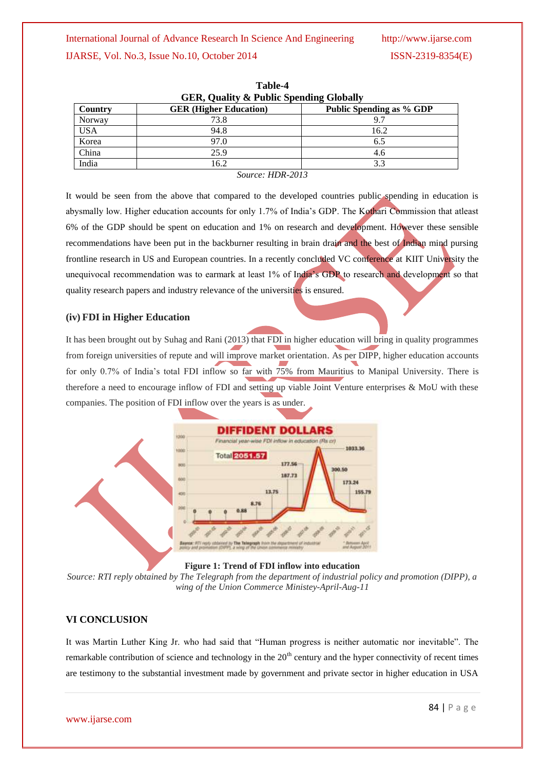IJARSE, Vol. No.3, Issue No.10, October 2014 ISSN-2319-8354(E)

| <b>GER, Quality &amp; Public Spending Globally</b> |                               |                                 |  |  |  |
|----------------------------------------------------|-------------------------------|---------------------------------|--|--|--|
| Country                                            | <b>GER</b> (Higher Education) | <b>Public Spending as % GDP</b> |  |  |  |
| Norway                                             | 73.8                          | 9.7                             |  |  |  |
| <b>USA</b>                                         | 94.8                          | 16.2                            |  |  |  |
| Korea                                              | 97.0                          | 6.5                             |  |  |  |
| China                                              | 25.9                          | 4.6                             |  |  |  |
| India                                              | 16.2                          | 3.3                             |  |  |  |
|                                                    | $C_{2}$ $\ldots$ $IIDD$ 0012  |                                 |  |  |  |

**Table-4 GER, Quality & Public Spending Globally**

*Source: HDR-2013*

It would be seen from the above that compared to the developed countries public spending in education is abysmally low. Higher education accounts for only 1.7% of India"s GDP. The Kothari Commission that atleast 6% of the GDP should be spent on education and 1% on research and development. However these sensible recommendations have been put in the backburner resulting in brain drain and the best of Indian mind pursing frontline research in US and European countries. In a recently concluded VC conference at KIIT University the unequivocal recommendation was to earmark at least 1% of India's GDP to research and development so that quality research papers and industry relevance of the universities is ensured.

## **(iv) FDI in Higher Education**

It has been brought out by Suhag and Rani (2013) that FDI in higher education will bring in quality programmes from foreign universities of repute and will improve market orientation. As per DIPP, higher education accounts for only 0.7% of India's total FDI inflow so far with 75% from Mauritius to Manipal University. There is therefore a need to encourage inflow of FDI and setting up viable Joint Venture enterprises & MoU with these companies. The position of FDI inflow over the years is as under.





*Source: RTI reply obtained by The Telegraph from the department of industrial policy and promotion (DIPP), a wing of the Union Commerce Ministey-April-Aug-11*

## **VI CONCLUSION**

It was Martin Luther King Jr. who had said that "Human progress is neither automatic nor inevitable". The remarkable contribution of science and technology in the  $20<sup>th</sup>$  century and the hyper connectivity of recent times are testimony to the substantial investment made by government and private sector in higher education in USA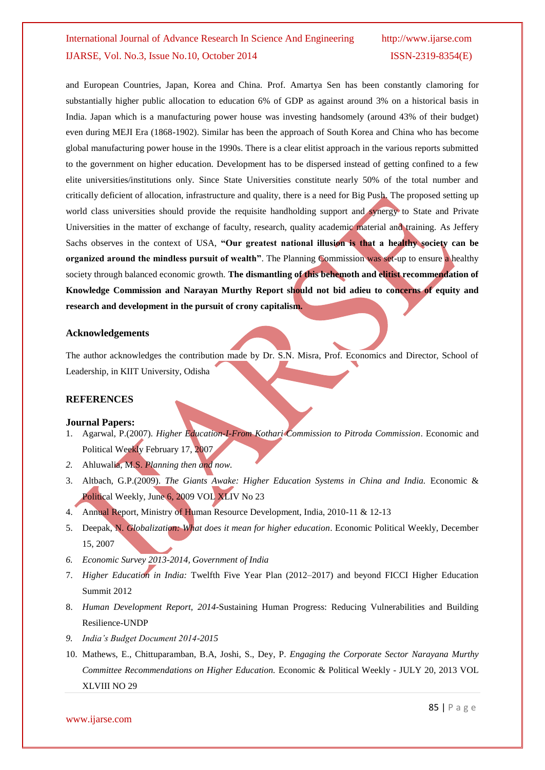and European Countries, Japan, Korea and China. Prof. Amartya Sen has been constantly clamoring for substantially higher public allocation to education 6% of GDP as against around 3% on a historical basis in India. Japan which is a manufacturing power house was investing handsomely (around 43% of their budget) even during MEJI Era (1868-1902). Similar has been the approach of South Korea and China who has become global manufacturing power house in the 1990s. There is a clear elitist approach in the various reports submitted to the government on higher education. Development has to be dispersed instead of getting confined to a few elite universities/institutions only. Since State Universities constitute nearly 50% of the total number and critically deficient of allocation, infrastructure and quality, there is a need for Big Push. The proposed setting up world class universities should provide the requisite handholding support and synergy to State and Private Universities in the matter of exchange of faculty, research, quality academic material and training. As Jeffery Sachs observes in the context of USA, **"Our greatest national illusion is that a healthy society can be organized around the mindless pursuit of wealth"**. The Planning Commission was set-up to ensure a healthy society through balanced economic growth. The dismantling of this behemoth and elitist recommendation of **Knowledge Commission and Narayan Murthy Report should not bid adieu to concerns of equity and research and development in the pursuit of crony capitalism.**

### **Acknowledgements**

The author acknowledges the contribution made by Dr. S.N. Misra, Prof. Economics and Director, School of Leadership, in KIIT University, Odisha

### **REFERENCES**

#### **Journal Papers:**

- 1. Agarwal, P.(2007). *Higher Education-I-From Kothari Commission to Pitroda Commission*. Economic and Political Weekly February 17, 2007
- *2.* Ahluwalia, M.S. *Planning then and now.*
- 3. Altbach, G.P.(2009). *The Giants Awake: Higher Education Systems in China and India.* Economic & Political Weekly, June 6, 2009 VOL XLIV No 23
- 4. Annual Report, Ministry of Human Resource Development, India, 2010-11 & 12-13
- 5. Deepak, N. *Globalization: What does it mean for higher education*. Economic Political Weekly, December 15, 2007
- *6. Economic Survey 2013-2014, Government of India*
- 7. *Higher Education in India:* Twelfth Five Year Plan (2012–2017) and beyond FICCI Higher Education Summit 2012
- 8. *Human Development Report, 2014*-Sustaining Human Progress: Reducing Vulnerabilities and Building Resilience-UNDP
- *9. India's Budget Document 2014-2015*
- 10. Mathews, E., Chittuparamban, B.A, Joshi, S., Dey, P. *Engaging the Corporate Sector Narayana Murthy Committee Recommendations on Higher Education.* Economic & Political Weekly - JULY 20, 2013 VOL XLVIII NO 29

www.ijarse.com